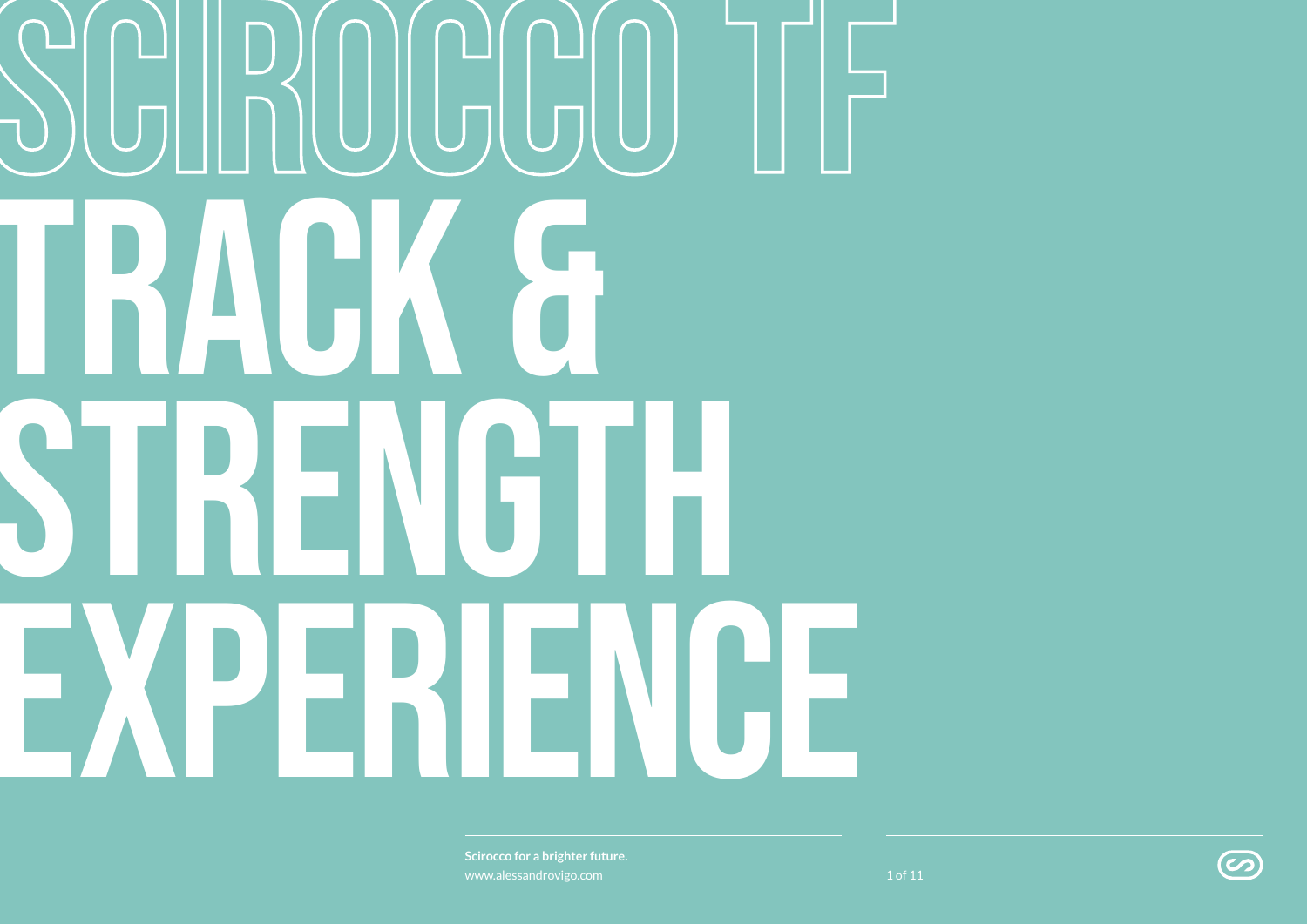# SCIROCCO TF TRACK & STRENGTH EXPERIEN

**Scirocco for a brighter future.** www.alessandrovigo.com **1 of 11** 

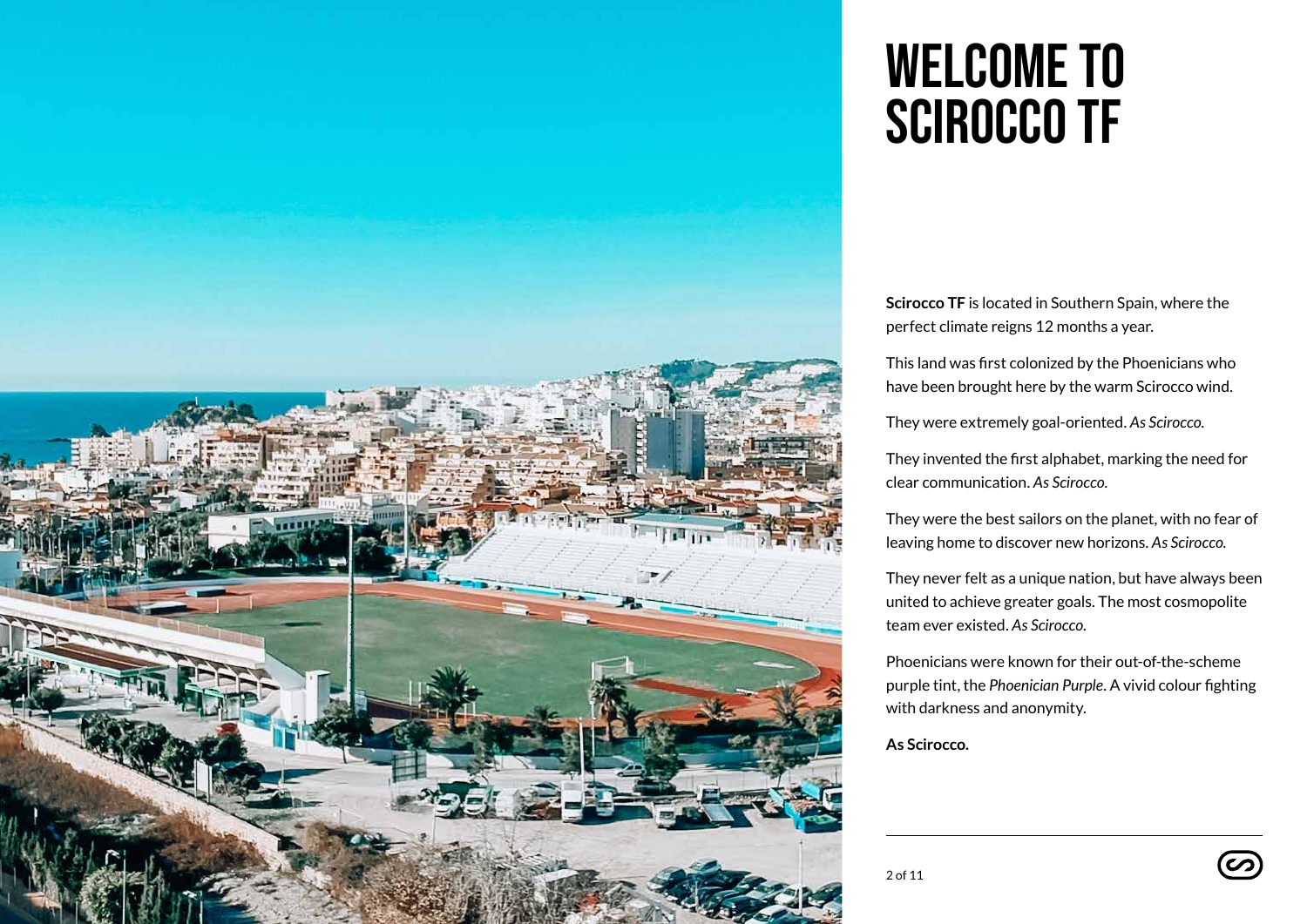

### welcome to scirocco TF

**Scirocco TF** is located in Southern Spain, where the perfect climate reigns 12 months a year.

This land was first colonized by the Phoenicians who have been brought here by the warm Scirocco wind.

They were extremely goal-oriented. *As Scirocco.*

They invented the first alphabet, marking the need for clear communication. *As Scirocco.*

They were the best sailors on the planet, with no fear of leaving home to discover new horizons. *As Scirocco.*

They never felt as a unique nation, but have always been united to achieve greater goals. The most cosmopolite team ever existed. *As Scirocco.*

Phoenicians were known for their out-of-the-scheme purple tint, the *Phoenician Purple*. A vivid colour fighting with darkness and anonymity.

**As Scirocco.**

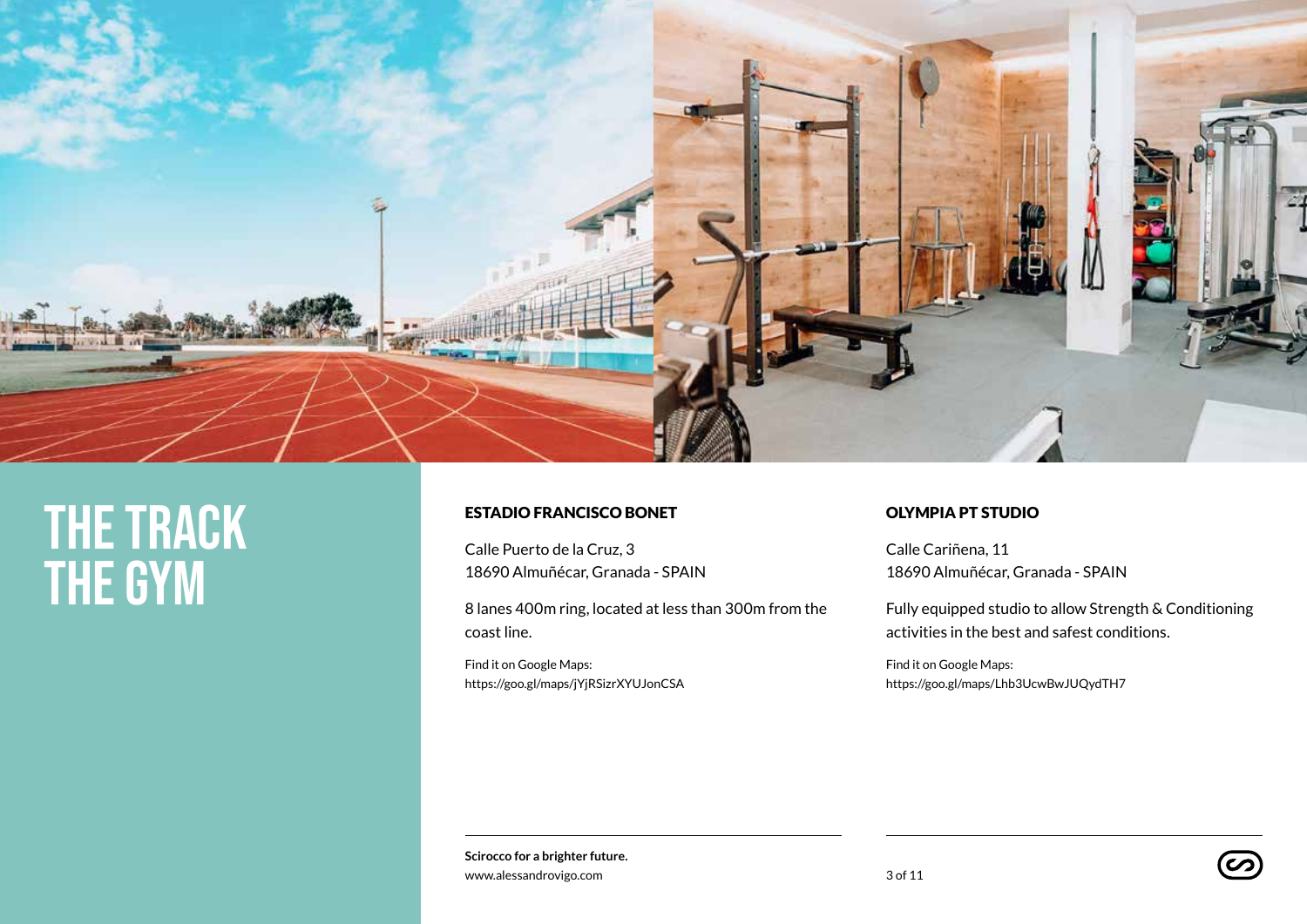

### tHe trAck The Gym

#### ESTADIO FRANCISCO BONET

Calle Puerto de la Cruz, 3 18690 Almuñécar, Granada - SPAIN

8 lanes 400m ring, located at less than 300m from the coast line.

Find it on Google Maps: https://goo.gl/maps/jYjRSizrXYUJonCSA

#### OLYMPIA PT STUDIO

Calle Cariñena, 11 18690 Almuñécar, Granada - SPAIN

Fully equipped studio to allow Strength & Conditioning activities in the best and safest conditions.

Find it on Google Maps: https://goo.gl/maps/Lhb3UcwBwJUQydTH7

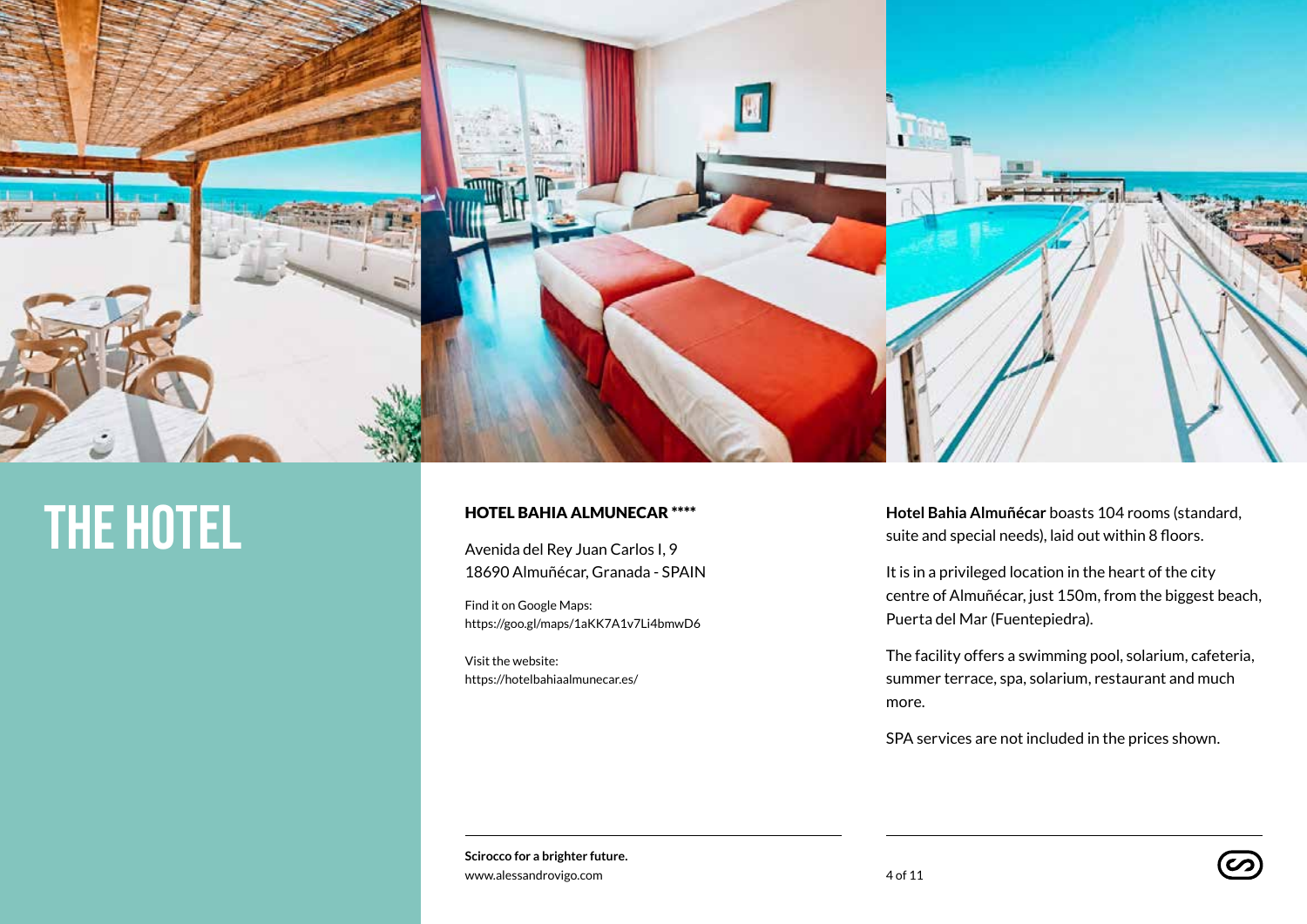

### THE HOTEL BAHIA ALMUNECAR \*\*\*\*<br>Avenida del Rey Juan Carlos I, 9

Avenida del Rey Juan Carlos I, 9 18690 Almuñécar, Granada - SPAIN

Find it on Google Maps: https://goo.gl/maps/1aKK7A1v7Li4bmwD6

Visit the website: https://hotelbahiaalmunecar.es/ **Hotel Bahia Almuñécar** boasts 104 rooms (standard, suite and special needs), laid out within 8 floors.

It is in a privileged location in the heart of the city centre of Almuñécar, just 150m, from the biggest beach, Puerta del Mar (Fuentepiedra).

The facility offers a swimming pool, solarium, cafeteria, summer terrace, spa, solarium, restaurant and much more.

SPA services are not included in the prices shown.

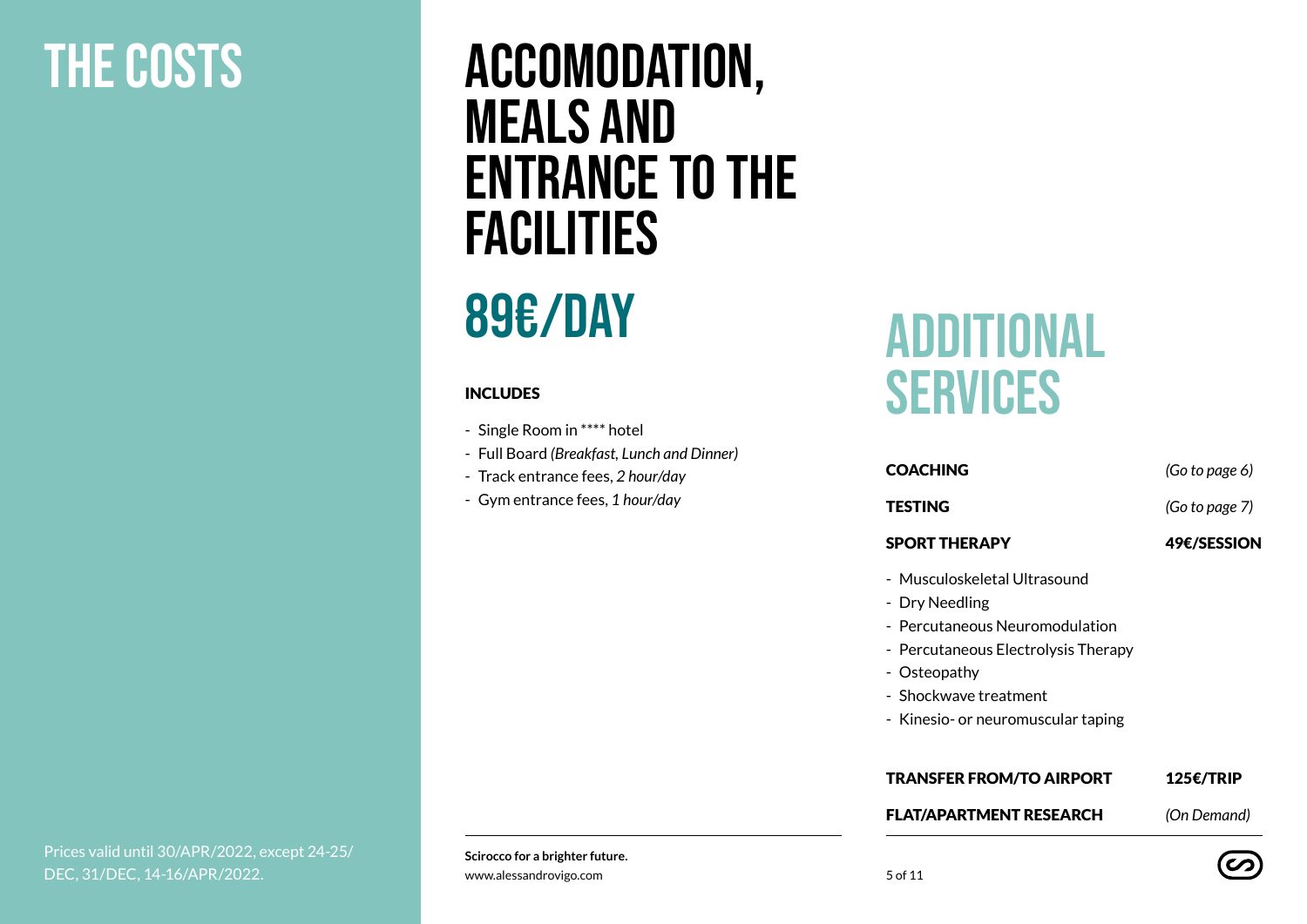### THE COSTS ACCOMODATION, meals and entrance to the **FACILITIES**

# 89€/day

#### INCLUDES

- Single Room in \*\*\*\* hotel
- Full Board *(Breakfast, Lunch and Dinner)*
- Track entrance fees, *2 hour/day*
- Gym entrance fees, *1 hour/day*

### Additional **SERVICES**

COACHING *(Go to page 6)*

TESTING *(Go to page 7)*

#### SPORT THERAPY 49€/SESSION

- Musculoskeletal Ultrasound
- Dry Needling
- Percutaneous Neuromodulation
- Percutaneous Electrolysis Therapy
- Osteopathy
- Shockwave treatment
- Kinesio- or neuromuscular taping

### TRANSFER FROM/TO AIRPORT 125€/TRIP

#### FLAT/APARTMENT RESEARCH *(On Demand)*

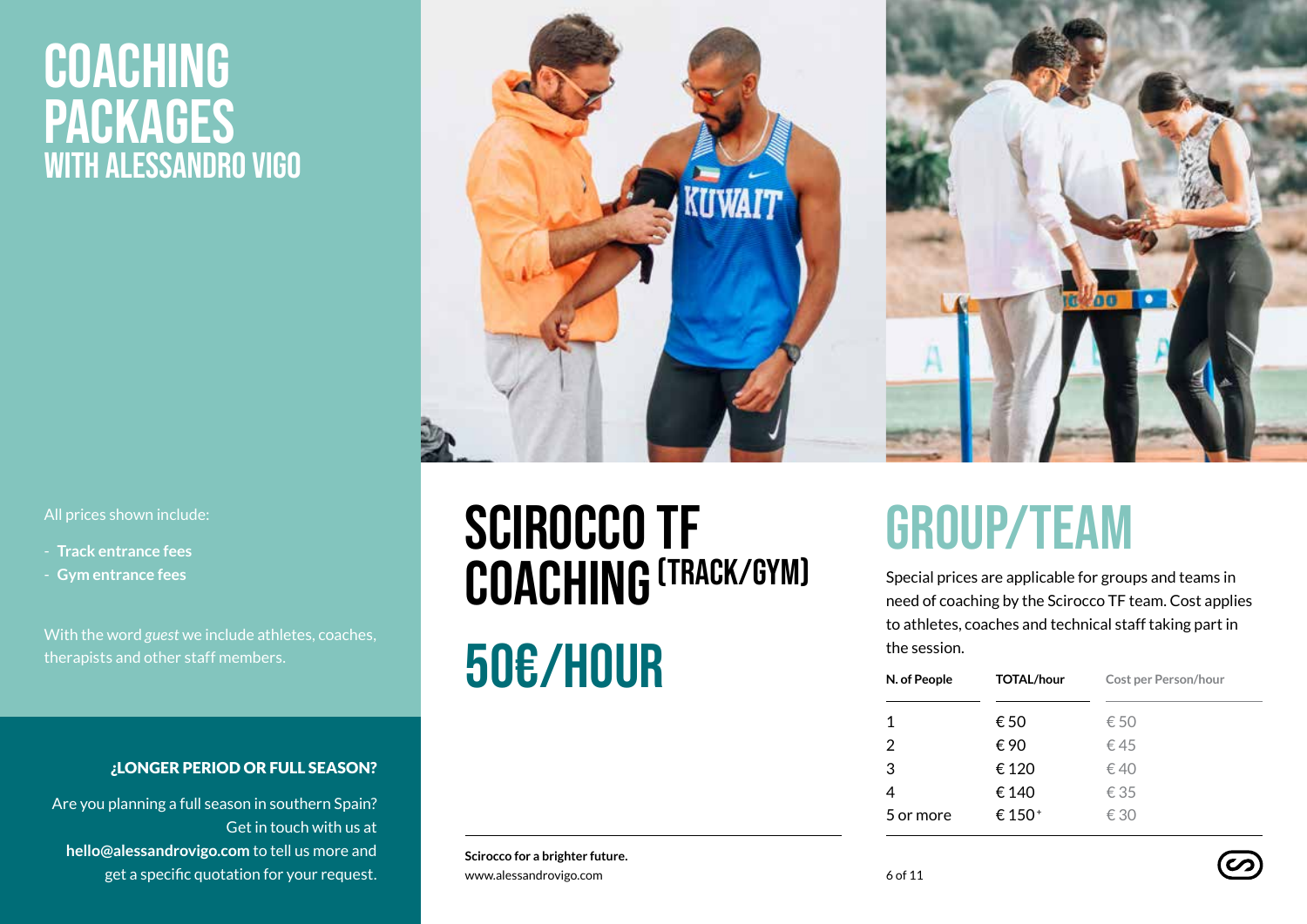### **COACHING PACKAGES** WITH ALESSANDRO VIGO

All prices shown include:

- **Track entrance fees**
- **Gym entrance fees**

With the word *guest* we include athletes, coaches, therapists and other staff members.

#### ¿LONGER PERIOD OR FULL SEASON?

Are you planning a full season in southern Spain? Get in touch with us at **hello@alessandrovigo.com** to tell us more and get a specific quotation for your request.



SCIROCCO TF COACHING (TRACK/GYM)

50€/hour

### Group/Team

Special prices are applicable for groups and teams in need of coaching by the Scirocco TF team. Cost applies to athletes, coaches and technical staff taking part in the session.

| N. of People  | <b>TOTAL/hour</b>   | Cost per Person/hour |
|---------------|---------------------|----------------------|
| 1             | €50                 | € 50                 |
| $\mathcal{P}$ | € 90                | €45                  |
| 3             | € 120               | €40                  |
| 4             | € 140               | € 35                 |
| 5 or more     | $€150$ <sup>+</sup> | € 30                 |

**Scirocco for a brighter future.** www.alessandrovigo.com 6 of 11

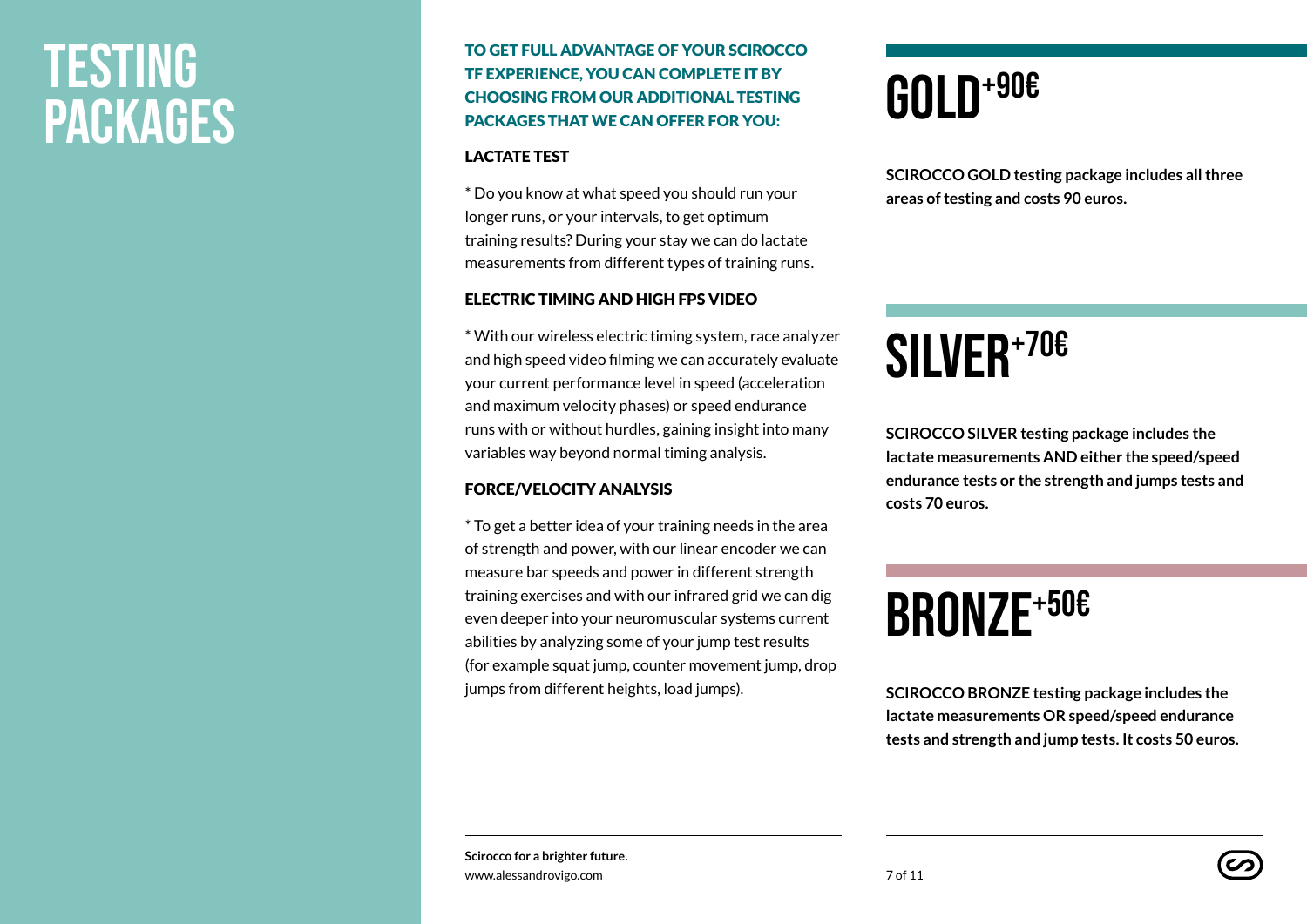### testing **PACKAGES**

TO GET FULL ADVANTAGE OF YOUR SCIROCCO TF EXPERIENCE, YOU CAN COMPLETE IT BY CHOOSING FROM OUR ADDITIONAL TESTING PACKAGES THAT WE CAN OFFER FOR YOU:

#### LACTATE TEST

\* Do you know at what speed you should run your longer runs, or your intervals, to get optimum training results? During your stay we can do lactate measurements from different types of training runs.

#### ELECTRIC TIMING AND HIGH FPS VIDEO

\* With our wireless electric timing system, race analyzer and high speed video filming we can accurately evaluate your current performance level in speed (acceleration and maximum velocity phases) or speed endurance runs with or without hurdles, gaining insight into many variables way beyond normal timing analysis.

#### FORCE/VELOCITY ANALYSIS

\* To get a better idea of your training needs in the area of strength and power, with our linear encoder we can measure bar speeds and power in different strength training exercises and with our infrared grid we can dig even deeper into your neuromuscular systems current abilities by analyzing some of your jump test results (for example squat jump, counter movement jump, drop jumps from different heights, load jumps).

# GOL<sup>+90€</sup>

**SCIROCCO GOLD testing package includes all three areas of testing and costs 90 euros.**

### SILVER<sup>+70€</sup>

**SCIROCCO SILVER testing package includes the lactate measurements AND either the speed/speed endurance tests or the strength and jumps tests and costs 70 euros.**

# BRONZE<sup>+50€</sup>

**SCIROCCO BRONZE testing package includes the lactate measurements OR speed/speed endurance tests and strength and jump tests. It costs 50 euros.**

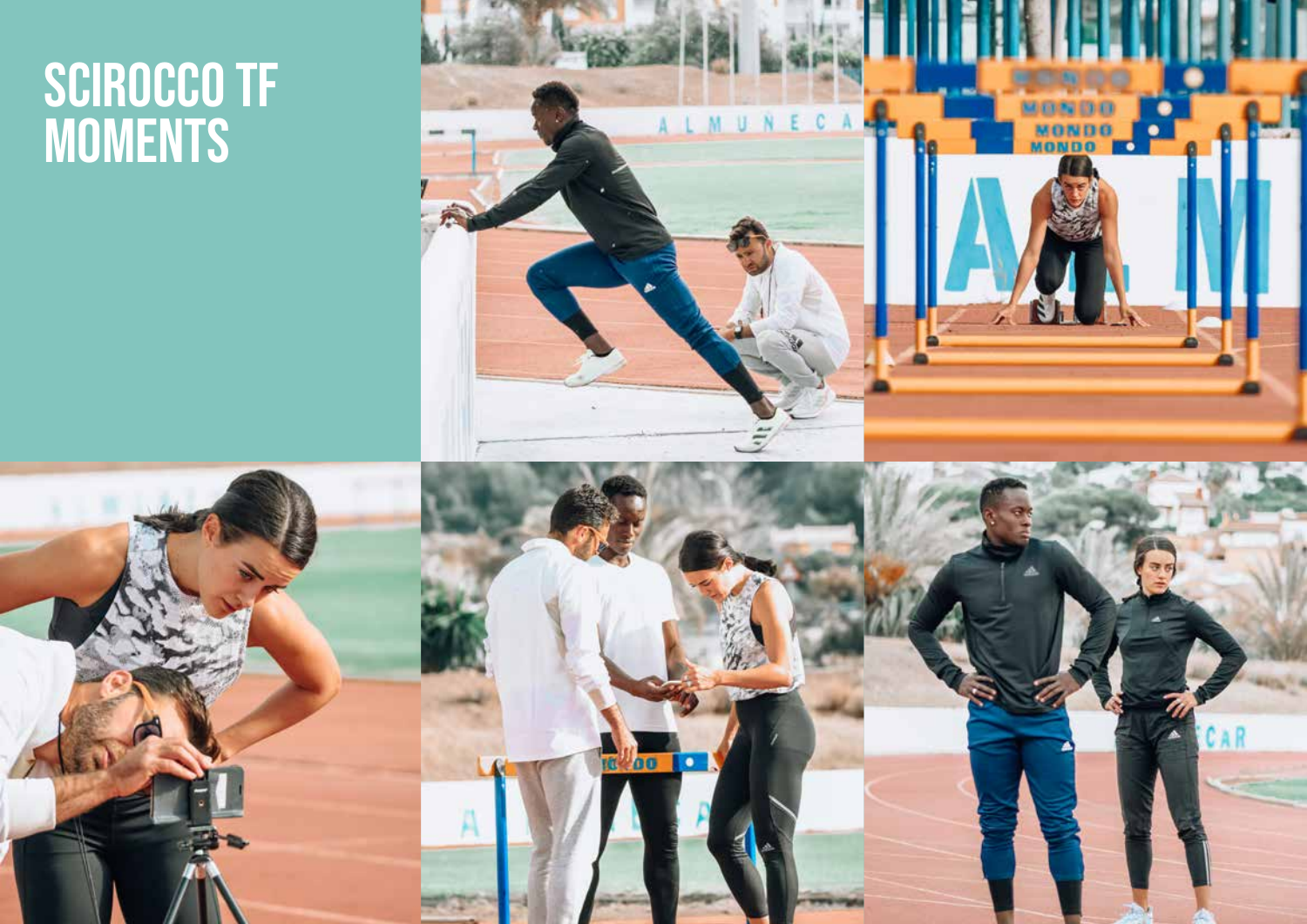### Scirocco TF **MOMENTS**

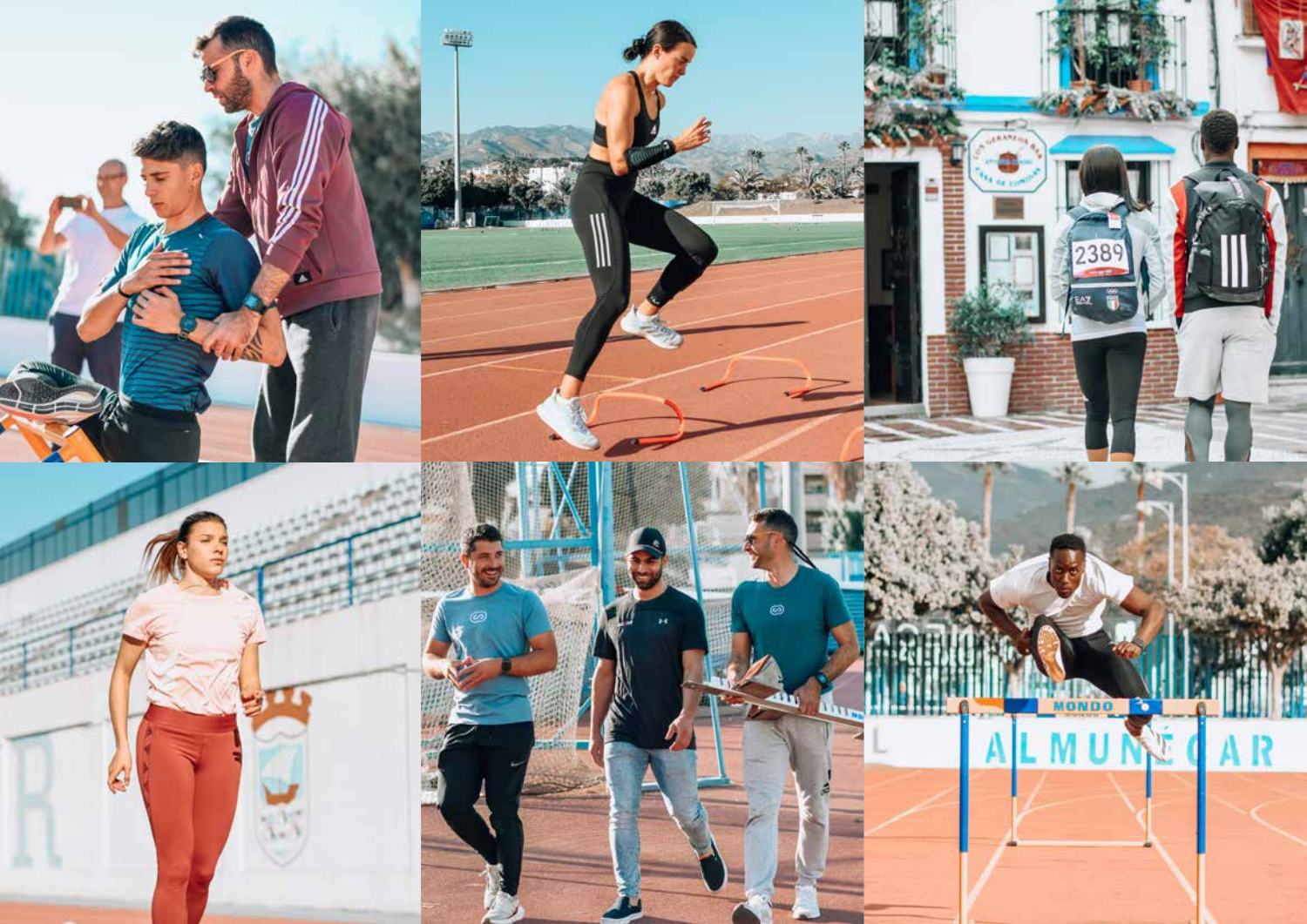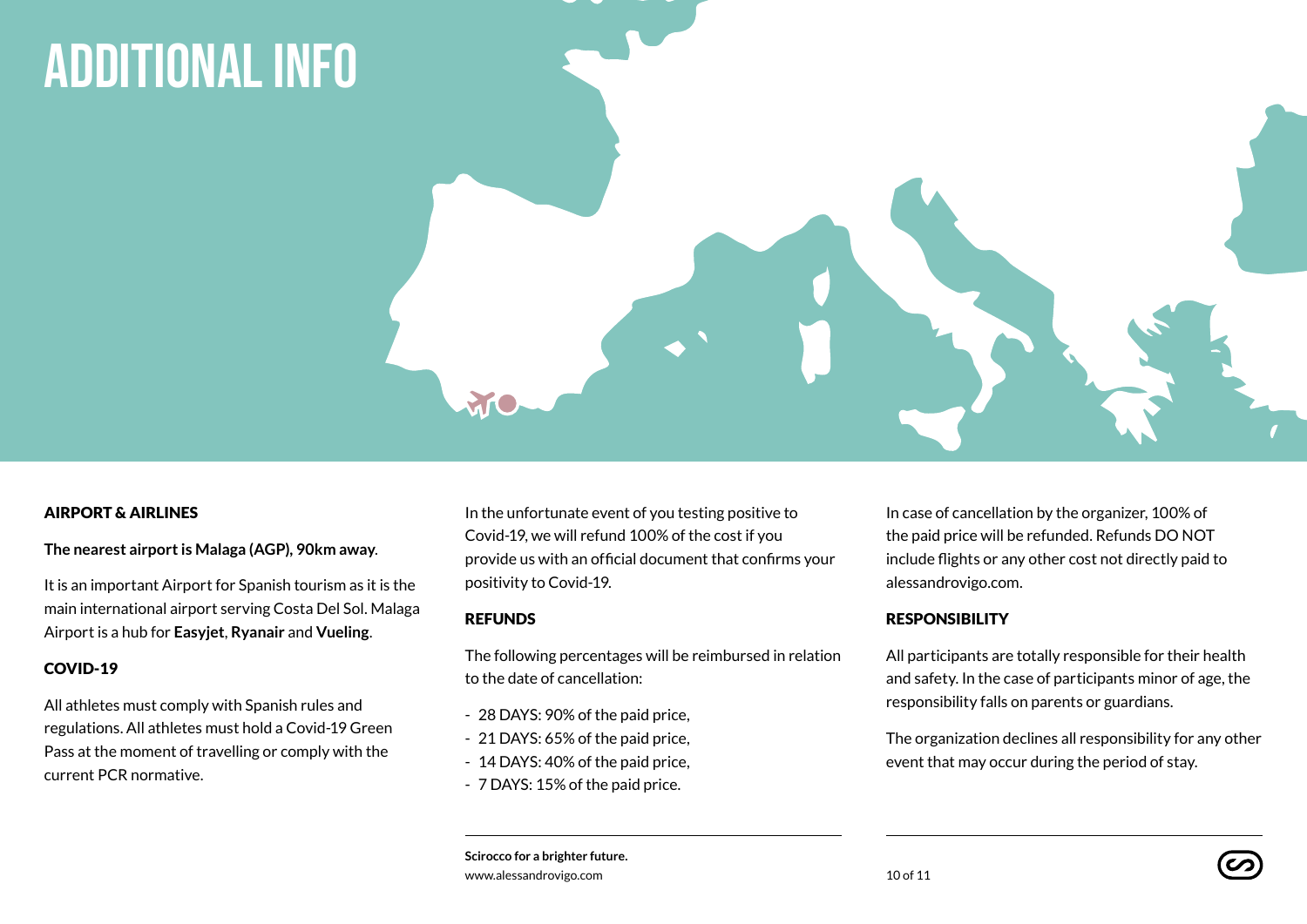# Additional Info

#### AIRPORT & AIRLINES

**The nearest airport is Malaga (AGP), 90km away**.

It is an important Airport for Spanish tourism as it is the main international airport serving Costa Del Sol. Malaga Airport is a hub for **Easyjet**, **Ryanair** and **Vueling**.

#### COVID-19

All athletes must comply with Spanish rules and regulations. All athletes must hold a Covid-19 Green Pass at the moment of travelling or comply with the current PCR normative.

In the unfortunate event of you testing positive to Covid-19, we will refund 100% of the cost if you provide us with an official document that confirms your positivity to Covid-19.

#### **REFUNDS**

The following percentages will be reimbursed in relation to the date of cancellation:

- 28 DAYS: 90% of the paid price,
- 21 DAYS: 65% of the paid price,
- 14 DAYS: 40% of the paid price,
- 7 DAYS: 15% of the paid price.

In case of cancellation by the organizer, 100% of the paid price will be refunded. Refunds DO NOT include flights or any other cost not directly paid to alessandrovigo.com.

#### RESPONSIBILITY

All participants are totally responsible for their health and safety. In the case of participants minor of age, the responsibility falls on parents or guardians.

The organization declines all responsibility for any other event that may occur during the period of stay.